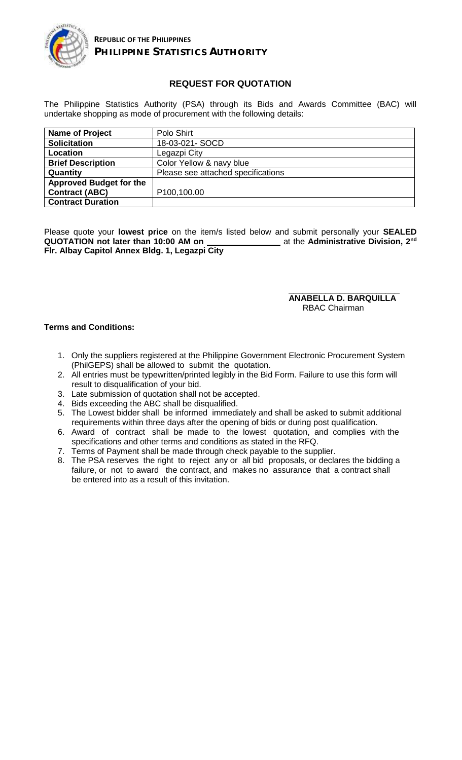

## **REQUEST FOR QUOTATION**

The Philippine Statistics Authority (PSA) through its Bids and Awards Committee (BAC) will undertake shopping as mode of procurement with the following details:

| Name of Project                | Polo Shirt                         |
|--------------------------------|------------------------------------|
| <b>Solicitation</b>            | 18-03-021- SOCD                    |
| Location                       | Legazpi City                       |
| <b>Brief Description</b>       | Color Yellow & navy blue           |
| Quantity                       | Please see attached specifications |
| <b>Approved Budget for the</b> |                                    |
| <b>Contract (ABC)</b>          | P100,100.00                        |
| <b>Contract Duration</b>       |                                    |

Please quote your **lowest price** on the item/s listed below and submit personally your **SEALED QUOTATION not later than 10:00 AM on \_\_\_\_\_\_\_\_\_\_\_\_\_\_\_\_** at the **Administrative Division, 2** at the Administrative Division, 2<sup>nd</sup> **Flr. Albay Capitol Annex Bldg. 1, Legazpi City**

> \_\_\_\_\_\_\_\_\_\_\_\_\_\_\_\_\_\_\_\_\_\_\_\_ **ANABELLA D. BARQUILLA** RBAC Chairman

## **Terms and Conditions:**

- 1. Only the suppliers registered at the Philippine Government Electronic Procurement System (PhilGEPS) shall be allowed to submit the quotation.
- 2. All entries must be typewritten/printed legibly in the Bid Form. Failure to use this form will result to disqualification of your bid.
- 3. Late submission of quotation shall not be accepted.
- 4. Bids exceeding the ABC shall be disqualified.
- 5. The Lowest bidder shall be informed immediately and shall be asked to submit additional requirements within three days after the opening of bids or during post qualification.
- 6. Award of contract shall be made to the lowest quotation, and complies with the specifications and other terms and conditions as stated in the RFQ.
- 7. Terms of Payment shall be made through check payable to the supplier.
- 8. The PSA reserves the right to reject any or all bid proposals, or declares the bidding a failure, or not to award the contract, and makes no assurance that a contract shall be entered into as a result of this invitation.